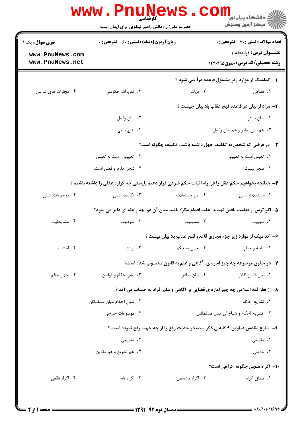|                                    | <b>www.rn</b><br><b>کارشناسی</b><br>حضرت علی(ع): دانش راهبر نیکویی برای ایمان است                   |                | دانشگاه پيام نور<br>ا∛ مرکز آزمون وسنجش                                    |  |
|------------------------------------|-----------------------------------------------------------------------------------------------------|----------------|----------------------------------------------------------------------------|--|
| <b>سری سوال :</b> یک ۱             | زمان آزمون (دقیقه) : تستی : 60 ٪ تشریحی : 0                                                         |                | <b>تعداد سوالات : تستی : 20 - تشریحی : 0</b>                               |  |
| www.PnuNews.com<br>www.PnuNews.net |                                                                                                     |                | <b>عنـــوان درس:</b> قوائدفقه ۲<br><b>رشته تحصیلی/کد درس:</b> حقوق ۱۲۲۰۲۹۵ |  |
|                                    |                                                                                                     |                | ۱– کدامیک از موارد زیر مشمول قاعده درأ نمی شود ؟                           |  |
| ۰۴ مجازات های شرعی                 | ۰۳ تعزیرات حکومتی                                                                                   | ۲. دیات        | ۰۱ قصاص                                                                    |  |
|                                    |                                                                                                     |                | ۲- مراد از بیان در قاعده قبح عقاب بلا بیان چیست ؟                          |  |
|                                    | ۰۲ بیان واصل                                                                                        |                | ۰۱ بیان صادر                                                               |  |
|                                    | ۴. هیچ بیانی                                                                                        |                | ۰۳ هم بيان صادر و هم بيان واصل                                             |  |
|                                    | <b>۳</b> - در فرضی که شخص به تکلیف جهل داشته باشد ، تکلیف چگونه است؟                                |                |                                                                            |  |
|                                    | ۲. تعیینی است نه تعینی                                                                              |                | ۰۱ تعینی است نه تعیینی                                                     |  |
|                                    | ۰۴ تنجّز دارد و فعلی است.                                                                           |                | ۰۳ منجّز نيست.                                                             |  |
|                                    | ۴- چنانچه بخواهیم حکم عقل را فرا راه اثبات حکم شرعی قرار دهیم بایستی چه گزاره عقلی را داشته باشیم ؟ |                |                                                                            |  |
| ۰۴ موضوعات عقلی                    | ۰۳ تکالیف عقلی                                                                                      | ۲. غیر مستقلات | ٠١. مستقلات عقلي                                                           |  |
|                                    | ۵– اگر ترس از فعلیت یافتن تهدید ًعلت اقدام مکرّه باشد میان آن دو چه رابطه ای دایر می شود؟           |                |                                                                            |  |
| ۰۴ مشروطيت                         | ۰۳ شرطیت                                                                                            | ۰۲ مسببیت      | ٠١. سببيت                                                                  |  |
|                                    |                                                                                                     |                | ۶– کدامیک از موارد زیر جزء مجاری قاعده قبح عقاب بلا بیان نیست ؟            |  |
| ۰۴ احتیاط                          | ۰۳ برائت                                                                                            | ۲. جهل به حکم  | ۰۱ اباحه و حظر                                                             |  |
|                                    |                                                                                                     |                | ۷- در حقوق موضوعه چه چیز اماره ی آگاهی و علم به قانون محسوب شده است؟       |  |
| ۰۴ جهل حکم                         | ۰۳ نشر احکام و قوانین                                                                               | ۰۲ بیان صادر   | <b>۱.</b> بيان قانون گذار                                                  |  |
|                                    | ۸- از نظر فقه اسلامی چه چیز اماره ی قضایی بر آگاهی و علم افراد به حساب می آید ؟                     |                |                                                                            |  |
|                                    | ٢. شياع احكام ميان مسلمانان                                                                         |                | ٠١. تشريع احكام                                                            |  |
|                                    | ۰۴ موضوعات خارجي                                                                                    |                | ٠٣ تشريع احكام و شياع آن ميان مسلمانان                                     |  |
|                                    | ۹- شارع مقدس عناوین ۹ گانه ی ذکر شده در حدیث رفع را از چه جهت رفع نموده است ؟                       |                |                                                                            |  |
|                                    | ۲. تشریعی                                                                                           |                | ۰۱ تکوینی                                                                  |  |
|                                    | ۰۴ هم تشریع و هم تکوین                                                                              |                | ۰۳ تأديبي                                                                  |  |
|                                    |                                                                                                     |                | ۱۰– اکراه ملجی چگونه اکراهی است؟                                           |  |
| ۰۴ اکراه ناقص                      | ۰۳ اکراه تام                                                                                        | ۲. اکراه مشخص  | <b>۱</b> . مطلق اکراه                                                      |  |
|                                    |                                                                                                     |                |                                                                            |  |